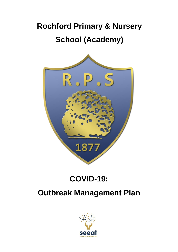# **Rochford Primary & Nursery School (Academy)**



## **COVID-19:**

### **Outbreak Management Plan**

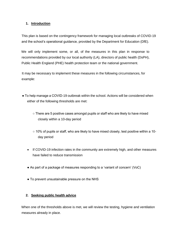#### **1. Introduction**

This plan is based on the contingency framework for managing local outbreaks of COVID-19 and the school's operational guidance, provided by the Department for Education (DfE).

We will only implement some, or all, of the measures in this plan in response to recommendations provided by our local authority (LA), directors of public health (DsPH), Public Health England (PHE) health protection team or the national government.

It may be necessary to implement these measures in the following circumstances, for example:

- To help manage a COVID-19 outbreak within the school. Actions will be considered when either of the following thresholds are met:
	- $\circ$  There are 5 positive cases amongst pupils or staff who are likely to have mixed closely within a 10-day period
	- 10% of pupils or staff, who are likely to have mixed closely, test positive within a 10 day period
	- If COVID-19 infection rates in the community are extremely high, and other measures have failed to reduce transmission
	- As part of a package of measures responding to a 'variant of concern' (VoC)
	- To prevent unsustainable pressure on the NHS

#### **2. Seeking public health advice**

When one of the thresholds above is met, we will review the testing, hygiene and ventilation measures already in place.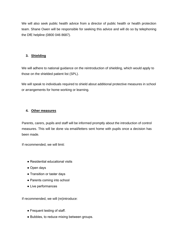We will also seek public health advice from a director of public health or health protection team. Shane Owen will be responsible for seeking this advice and will do so by telephoning the DfE helpline (0800 046 8687).

#### **3. Shielding**

We will adhere to national guidance on the reintroduction of shielding, which would apply to those on the shielded patient list (SPL).

We will speak to individuals required to shield about additional protective measures in school or arrangements for home working or learning.

#### **4. Other measures**

Parents, carers, pupils and staff will be informed promptly about the introduction of control measures. This will be done via email/letters sent home with pupils once a decision has been made.

If recommended, we will limit:

- Residential educational visits
- Open days
- Transition or taster days
- Parents coming into school
- Live performances

If recommended, we will (re)introduce:

- Frequent testing of staff.
- Bubbles, to reduce mixing between groups.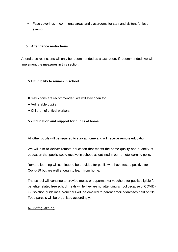• Face coverings in communal areas and classrooms for staff and visitors (unless exempt).

#### **5. Attendance restrictions**

Attendance restrictions will only be recommended as a last resort. If recommended, we will implement the measures in this section.

#### **5.1 Eligibility to remain in school**

If restrictions are recommended, we will stay open for:

- Vulnerable pupils
- Children of critical workers

#### **5.2 Education and support for pupils at home**

All other pupils will be required to stay at home and will receive remote education.

We will aim to deliver remote education that meets the same quality and quantity of education that pupils would receive in school, as outlined in our remote learning policy.

Remote learning will continue to be provided for pupils who have tested positive for Covid-19 but are well enough to learn from home.

The school will continue to provide meals or supermarket vouchers for pupils eligible for benefits-related free school meals while they are not attending school because of COVID-19 isolation guidelines. Vouchers will be emailed to parent email addresses held on file. Food parcels will be organised accordingly.

#### **5.3 Safeguarding**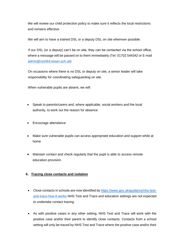We will review our child protection policy to make sure it reflects the local restrictions and remains effective.

We will aim to have a trained DSL or a deputy DSL on site wherever possible.

If our DSL (or a deputy) can't be on site, they can be contacted via the school office, where a message will be passed on to them immediately (Tel: 01702 544342 or E-mail [admin@rochfrd.essex.sch.uk\)](mailto:admin@rochfrd.essex.sch.uk)

On occasions where there is no DSL or deputy on site, a senior leader will take responsibility for coordinating safeguarding on site.

When vulnerable pupils are absent, we will:

- Speak to parents/carers and, where applicable, social workers and the local authority, to work out the reason for absence
- Encourage attendance
- Make sure vulnerable pupils can access appropriate education and support while at home
- Maintain contact and check regularly that the pupil is able to access remote education provision.

#### **6. Tracing close contacts and isolation**

- Close contacts in schools are now identified b[y https://www.gov.uk/guidance/nhs-test](https://www.gov.uk/guidance/nhs-test-and-trace-how-it-works)[and-trace-how-it-works](https://www.gov.uk/guidance/nhs-test-and-trace-how-it-works) NHS Test and Trace and education settings are not expected to undertake contact tracing.
- As with positive cases in any other setting, NHS Test and Trace will work with the positive case and/or their parent to identify close contacts. Contacts from a school setting will only be traced by NHS Test and Trace where the positive case and/or their